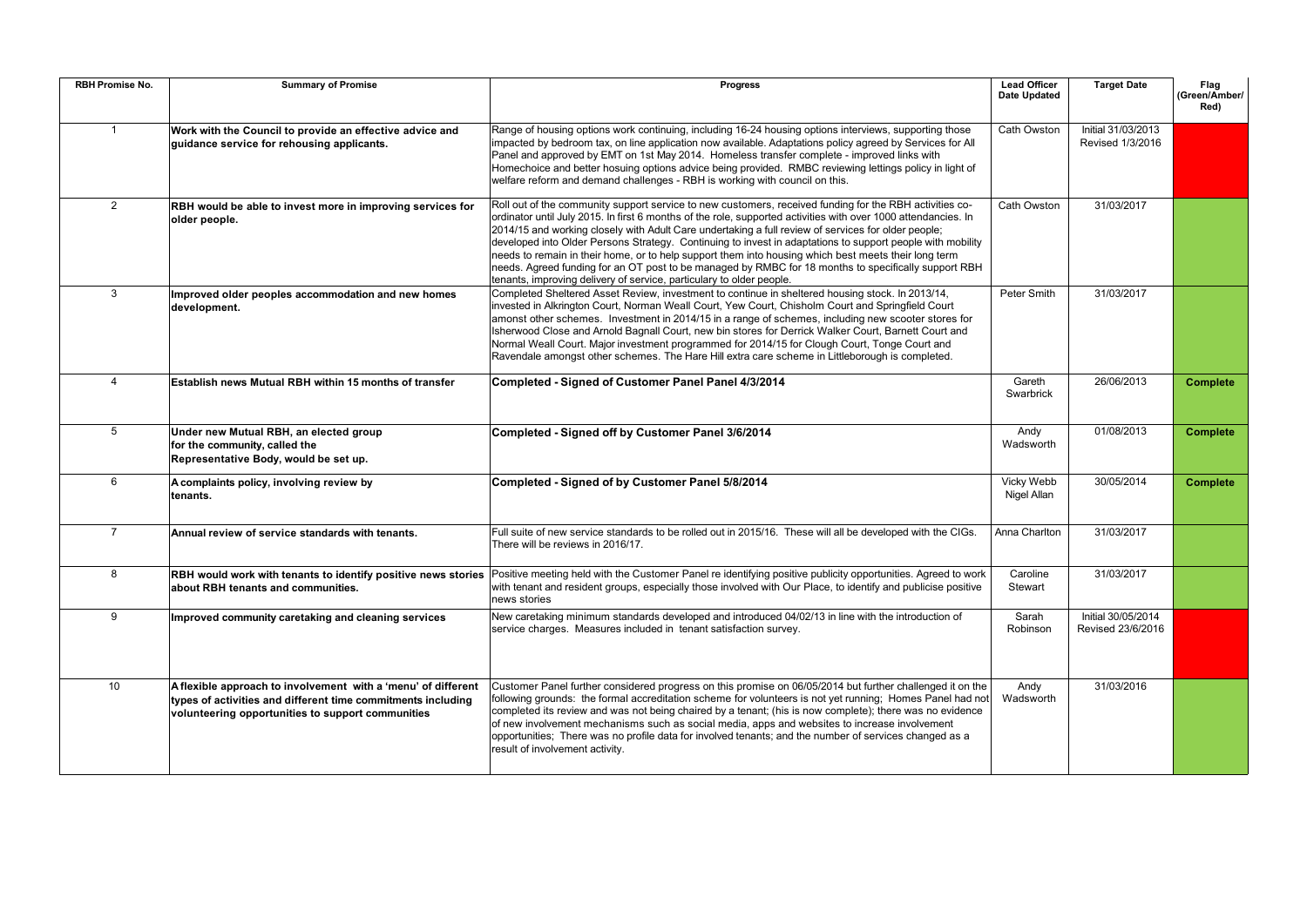| <b>RBH Promise No.</b> | <b>Summary of Promise</b>                                                                                                                                                          | <b>Progress</b>                                                                                                                                                                                                                                                                                                                                                                                                                                                                                                                                                                                                                                                                                                                        | <b>Lead Officer</b><br><b>Date Updated</b> | <b>Target Date</b>                      | Flag<br>(Green/Amber/<br>Red) |
|------------------------|------------------------------------------------------------------------------------------------------------------------------------------------------------------------------------|----------------------------------------------------------------------------------------------------------------------------------------------------------------------------------------------------------------------------------------------------------------------------------------------------------------------------------------------------------------------------------------------------------------------------------------------------------------------------------------------------------------------------------------------------------------------------------------------------------------------------------------------------------------------------------------------------------------------------------------|--------------------------------------------|-----------------------------------------|-------------------------------|
|                        | Work with the Council to provide an effective advice and<br>guidance service for rehousing applicants.                                                                             | Range of housing options work continuing, including 16-24 housing options interviews, supporting those<br>impacted by bedroom tax, on line application now available. Adaptations policy agreed by Services for All<br>Panel and approved by EMT on 1st May 2014. Homeless transfer complete - improved links with<br>Homechoice and better hosuing options advice being provided. RMBC reviewing lettings policy in light of<br>welfare reform and demand challenges - RBH is working with council on this.                                                                                                                                                                                                                           | Cath Owston                                | Initial 31/03/2013<br>Revised 1/3/2016  |                               |
| $\overline{2}$         | RBH would be able to invest more in improving services for<br>older people.                                                                                                        | Roll out of the community support service to new customers, received funding for the RBH activities co-<br>ordinator until July 2015. In first 6 months of the role, supported activities with over 1000 attendancies. In<br>2014/15 and working closely with Adult Care undertaking a full review of services for older people;<br>developed into Older Persons Strategy. Continuing to invest in adaptations to support people with mobility<br>needs to remain in their home, or to help support them into housing which best meets their long term<br>needs. Agreed funding for an OT post to be managed by RMBC for 18 months to specifically support RBH<br>tenants, improving delivery of service, particulary to older people. | Cath Owston                                | 31/03/2017                              |                               |
| 3                      | Improved older peoples accommodation and new homes<br>development.                                                                                                                 | Completed Sheltered Asset Review, investment to continue in sheltered housing stock. In 2013/14,<br>invested in Alkrington Court, Norman Weall Court, Yew Court, Chisholm Court and Springfield Court<br>amonst other schemes. Investment in 2014/15 in a range of schemes, including new scooter stores for<br>Isherwood Close and Arnold Bagnall Court, new bin stores for Derrick Walker Court, Barnett Court and<br>Normal Weall Court. Major investment programmed for 2014/15 for Clough Court, Tonge Court and<br>Ravendale amongst other schemes. The Hare Hill extra care scheme in Littleborough is completed.                                                                                                               | Peter Smith                                | 31/03/2017                              |                               |
| $\overline{4}$         | Establish news Mutual RBH within 15 months of transfer                                                                                                                             | Completed - Signed of Customer Panel Panel 4/3/2014                                                                                                                                                                                                                                                                                                                                                                                                                                                                                                                                                                                                                                                                                    | Gareth<br>Swarbrick                        | 26/06/2013                              | <b>Complete</b>               |
| 5                      | Under new Mutual RBH, an elected group<br>for the community, called the<br>Representative Body, would be set up.                                                                   | Completed - Signed off by Customer Panel 3/6/2014                                                                                                                                                                                                                                                                                                                                                                                                                                                                                                                                                                                                                                                                                      | Andy<br>Wadsworth                          | 01/08/2013                              | <b>Complete</b>               |
| 6                      | A complaints policy, involving review by<br>tenants.                                                                                                                               | Completed - Signed of by Customer Panel 5/8/2014                                                                                                                                                                                                                                                                                                                                                                                                                                                                                                                                                                                                                                                                                       | Vicky Webb<br>Nigel Allan                  | 30/05/2014                              | <b>Complete</b>               |
| $\overline{7}$         | Annual review of service standards with tenants.                                                                                                                                   | Full suite of new service standards to be rolled out in 2015/16. These will all be developed with the CIGs.<br>There will be reviews in 2016/17.                                                                                                                                                                                                                                                                                                                                                                                                                                                                                                                                                                                       | Anna Charlton                              | 31/03/2017                              |                               |
| 8                      | about RBH tenants and communities.                                                                                                                                                 | RBH would work with tenants to identify positive news stories Positive meeting held with the Customer Panel re identifying positive publicity opportunities. Agreed to work<br>with tenant and resident groups, especially those involved with Our Place, to identify and publicise positive<br>news stories                                                                                                                                                                                                                                                                                                                                                                                                                           | Caroline<br><b>Stewart</b>                 | 31/03/2017                              |                               |
| 9                      | Improved community caretaking and cleaning services                                                                                                                                | New caretaking minimum standards developed and introduced 04/02/13 in line with the introduction of<br>service charges. Measures included in tenant satisfaction survey.                                                                                                                                                                                                                                                                                                                                                                                                                                                                                                                                                               | Sarah<br>Robinson                          | Initial 30/05/2014<br>Revised 23/6/2016 |                               |
| 10                     | A flexible approach to involvement with a 'menu' of different<br>types of activities and different time commitments including<br>volunteering opportunities to support communities | Customer Panel further considered progress on this promise on 06/05/2014 but further challenged it on the<br>following grounds: the formal accreditation scheme for volunteers is not yet running; Homes Panel had not<br>completed its review and was not being chaired by a tenant; (his is now complete); there was no evidence<br>of new involvement mechanisms such as social media, apps and websites to increase involvement<br>opportunities; There was no profile data for involved tenants; and the number of services changed as a<br>result of involvement activity.                                                                                                                                                       | Andy<br>Wadsworth                          | 31/03/2016                              |                               |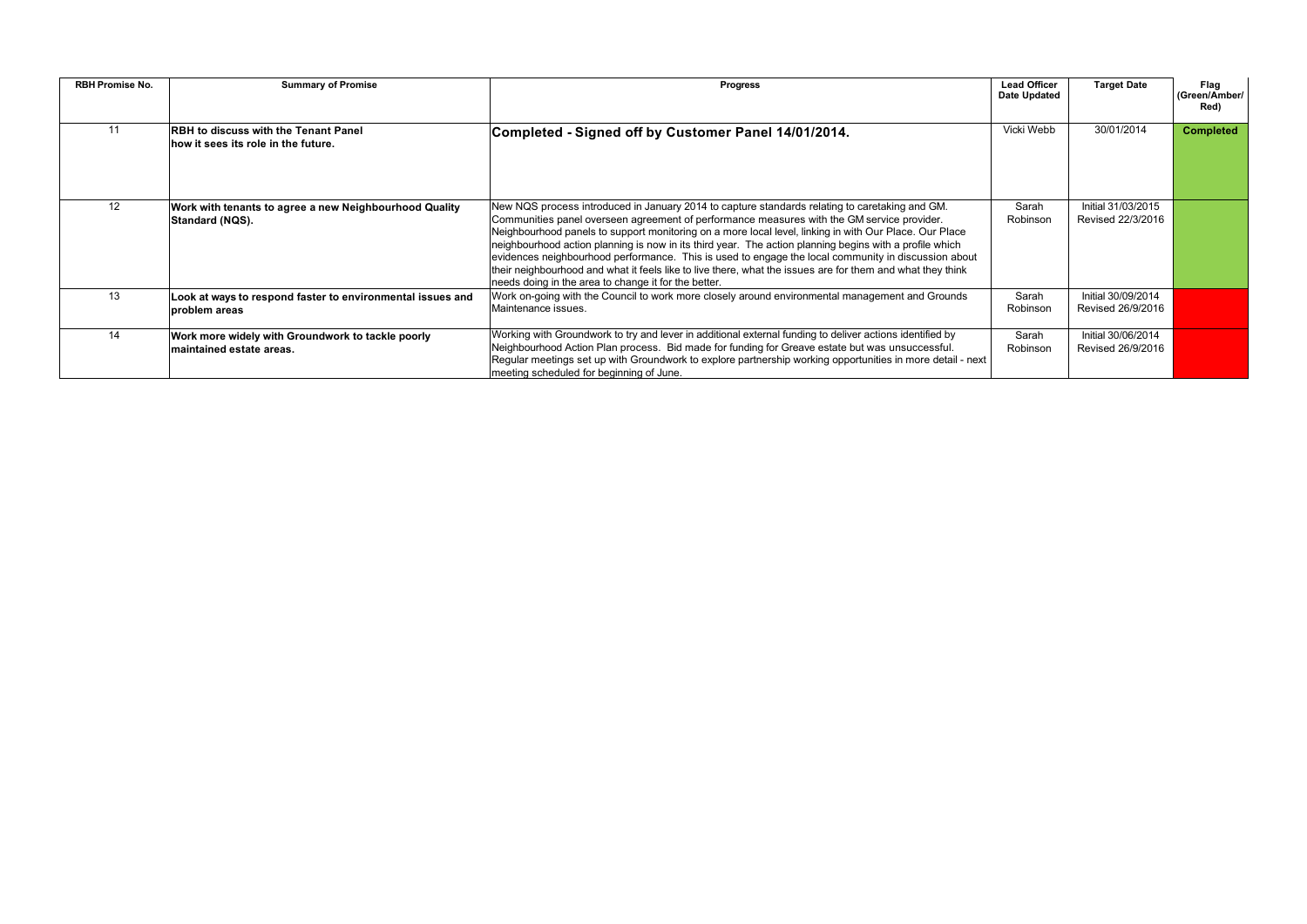| <b>RBH Promise No.</b> | <b>Summary of Promise</b>                                                               | <b>Progress</b>                                                                                                                                                                                                                                                                                                                                                                                                                                                                                                                                                                                                                                                                                | <b>Lead Officer</b><br>Date Updated | <b>Target Date</b>                      | Flag<br>(Green/Amber/<br>Red) |
|------------------------|-----------------------------------------------------------------------------------------|------------------------------------------------------------------------------------------------------------------------------------------------------------------------------------------------------------------------------------------------------------------------------------------------------------------------------------------------------------------------------------------------------------------------------------------------------------------------------------------------------------------------------------------------------------------------------------------------------------------------------------------------------------------------------------------------|-------------------------------------|-----------------------------------------|-------------------------------|
| 11                     | <b>RBH</b> to discuss with the Tenant Panel<br>$\,$ how it sees its role in the future. | Completed - Signed off by Customer Panel 14/01/2014.                                                                                                                                                                                                                                                                                                                                                                                                                                                                                                                                                                                                                                           | Vicki Webb                          | 30/01/2014                              | <b>Completed</b>              |
| 12                     | Work with tenants to agree a new Neighbourhood Quality<br>Standard (NQS).               | New NQS process introduced in January 2014 to capture standards relating to caretaking and GM.<br>Communities panel overseen agreement of performance measures with the GM service provider.<br>Neighbourhood panels to support monitoring on a more local level, linking in with Our Place. Our Place<br>neighbourhood action planning is now in its third year. The action planning begins with a profile which<br>evidences neighbourhood performance. This is used to engage the local community in discussion about<br>their neighbourhood and what it feels like to live there, what the issues are for them and what they think<br>needs doing in the area to change it for the better. | Sarah<br>Robinson                   | Initial 31/03/2015<br>Revised 22/3/2016 |                               |
| 13                     | Look at ways to respond faster to environmental issues and<br>problem areas             | Work on-going with the Council to work more closely around environmental management and Grounds<br>Maintenance issues.                                                                                                                                                                                                                                                                                                                                                                                                                                                                                                                                                                         | Sarah<br>Robinson                   | Initial 30/09/2014<br>Revised 26/9/2016 |                               |
| 14                     | Work more widely with Groundwork to tackle poorly<br>∣maintained estate areas.          | Working with Groundwork to try and lever in additional external funding to deliver actions identified by<br>Neighbourhood Action Plan process. Bid made for funding for Greave estate but was unsuccessful.<br>Regular meetings set up with Groundwork to explore partnership working opportunities in more detail - next<br>meeting scheduled for beginning of June.                                                                                                                                                                                                                                                                                                                          | Sarah<br>Robinson                   | Initial 30/06/2014<br>Revised 26/9/2016 |                               |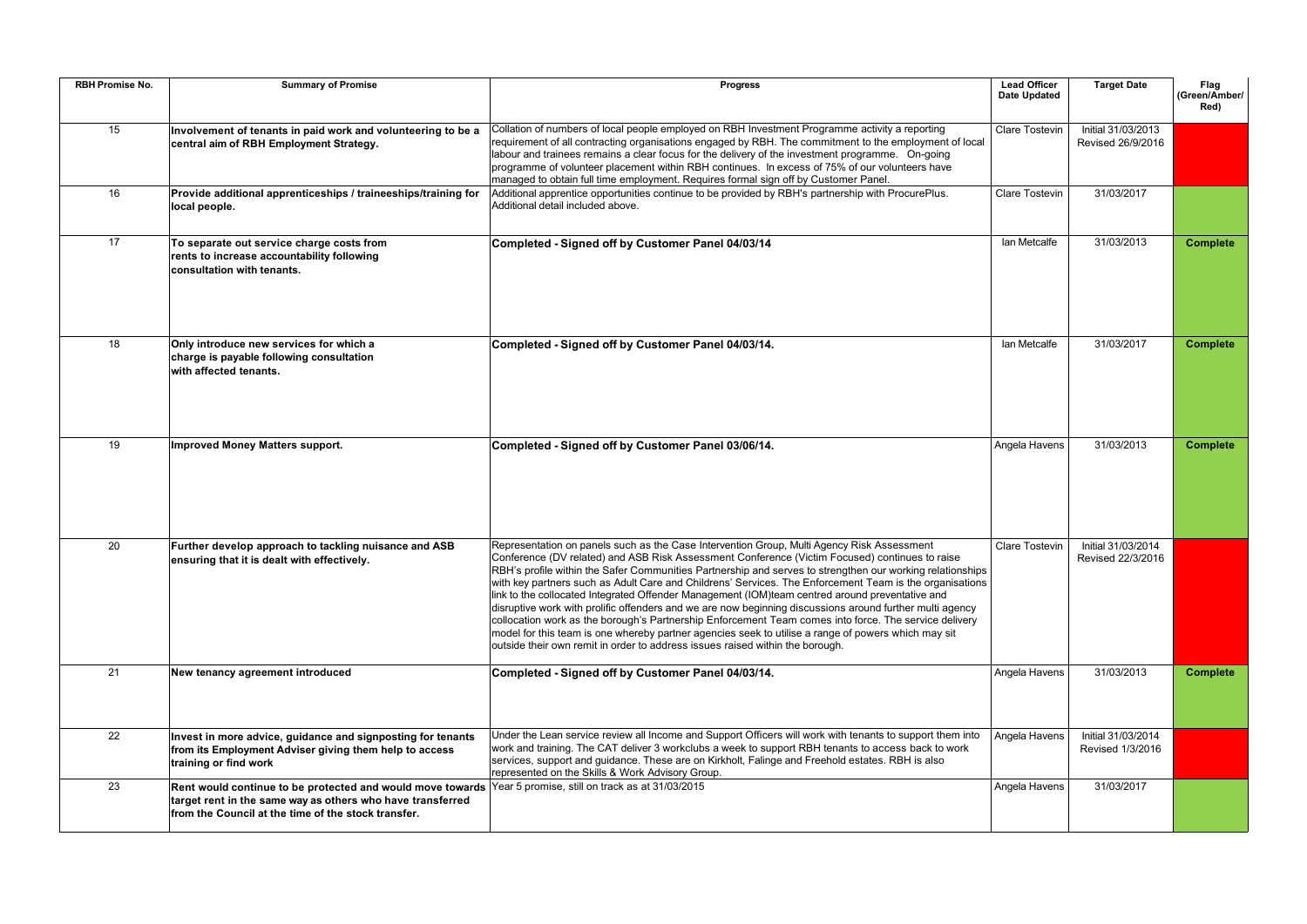| <b>RBH Promise No.</b> | <b>Summary of Promise</b>                                                                                                                                                                                                       | <b>Progress</b>                                                                                                                                                                                                                                                                                                                                                                                                                                                                                                                                                                                                                                                                                                                                                                                                                                                                                                                      | <b>Lead Officer</b><br><b>Date Updated</b> | <b>Target Date</b>                      | Flag<br>(Green/Amber/<br>Red) |
|------------------------|---------------------------------------------------------------------------------------------------------------------------------------------------------------------------------------------------------------------------------|--------------------------------------------------------------------------------------------------------------------------------------------------------------------------------------------------------------------------------------------------------------------------------------------------------------------------------------------------------------------------------------------------------------------------------------------------------------------------------------------------------------------------------------------------------------------------------------------------------------------------------------------------------------------------------------------------------------------------------------------------------------------------------------------------------------------------------------------------------------------------------------------------------------------------------------|--------------------------------------------|-----------------------------------------|-------------------------------|
| 15                     | Involvement of tenants in paid work and volunteering to be a<br>central aim of RBH Employment Strategy.                                                                                                                         | Collation of numbers of local people employed on RBH Investment Programme activity a reporting<br>requirement of all contracting organisations engaged by RBH. The commitment to the employment of local<br>labour and trainees remains a clear focus for the delivery of the investment programme. On-going<br>programme of volunteer placement within RBH continues. In excess of 75% of our volunteers have<br>managed to obtain full time employment. Requires formal sign off by Customer Panel.                                                                                                                                                                                                                                                                                                                                                                                                                                | <b>Clare Tostevin</b>                      | Initial 31/03/2013<br>Revised 26/9/2016 |                               |
| 16                     | Provide additional apprenticeships / traineeships/training for<br>local people.                                                                                                                                                 | Additional apprentice opportunities continue to be provided by RBH's partnership with ProcurePlus.<br>Additional detail included above.                                                                                                                                                                                                                                                                                                                                                                                                                                                                                                                                                                                                                                                                                                                                                                                              | <b>Clare Tostevin</b>                      | 31/03/2017                              |                               |
| 17                     | To separate out service charge costs from<br>rents to increase accountability following<br>consultation with tenants.                                                                                                           | Completed - Signed off by Customer Panel 04/03/14                                                                                                                                                                                                                                                                                                                                                                                                                                                                                                                                                                                                                                                                                                                                                                                                                                                                                    | lan Metcalfe                               | 31/03/2013                              | <b>Complete</b>               |
| 18                     | Only introduce new services for which a<br>charge is payable following consultation<br>with affected tenants.                                                                                                                   | Completed - Signed off by Customer Panel 04/03/14.                                                                                                                                                                                                                                                                                                                                                                                                                                                                                                                                                                                                                                                                                                                                                                                                                                                                                   | lan Metcalfe                               | 31/03/2017                              | <b>Complete</b>               |
| 19                     | <b>Improved Money Matters support.</b>                                                                                                                                                                                          | Completed - Signed off by Customer Panel 03/06/14.                                                                                                                                                                                                                                                                                                                                                                                                                                                                                                                                                                                                                                                                                                                                                                                                                                                                                   | Angela Havens                              | 31/03/2013                              | <b>Complete</b>               |
| 20                     | Further develop approach to tackling nuisance and ASB<br>ensuring that it is dealt with effectively.                                                                                                                            | Representation on panels such as the Case Intervention Group, Multi Agency Risk Assessment<br>Conference (DV related) and ASB Risk Assessment Conference (Victim Focused) continues to raise<br>RBH's profile within the Safer Communities Partnership and serves to strengthen our working relationships<br>with key partners such as Adult Care and Childrens' Services. The Enforcement Team is the organisations<br>link to the collocated Integrated Offender Management (IOM)team centred around preventative and<br>disruptive work with prolific offenders and we are now beginning discussions around further multi agency<br>collocation work as the borough's Partnership Enforcement Team comes into force. The service delivery<br>model for this team is one whereby partner agencies seek to utilise a range of powers which may sit<br>outside their own remit in order to address issues raised within the borough. | <b>Clare Tostevin</b>                      | Initial 31/03/2014<br>Revised 22/3/2016 |                               |
| 21                     | New tenancy agreement introduced                                                                                                                                                                                                | Completed - Signed off by Customer Panel 04/03/14.                                                                                                                                                                                                                                                                                                                                                                                                                                                                                                                                                                                                                                                                                                                                                                                                                                                                                   | Angela Havens                              | 31/03/2013                              | <b>Complete</b>               |
| 22                     | Invest in more advice, guidance and signposting for tenants<br>from its Employment Adviser giving them help to access<br>training or find work                                                                                  | Under the Lean service review all Income and Support Officers will work with tenants to support them into<br>work and training. The CAT deliver 3 workclubs a week to support RBH tenants to access back to work<br>services, support and guidance. These are on Kirkholt, Falinge and Freehold estates. RBH is also<br>represented on the Skills & Work Advisory Group.                                                                                                                                                                                                                                                                                                                                                                                                                                                                                                                                                             | Angela Havens                              | Initial 31/03/2014<br>Revised 1/3/2016  |                               |
| 23                     | Rent would continue to be protected and would move towards Year 5 promise, still on track as at 31/03/2015<br>target rent in the same way as others who have transferred<br>from the Council at the time of the stock transfer. |                                                                                                                                                                                                                                                                                                                                                                                                                                                                                                                                                                                                                                                                                                                                                                                                                                                                                                                                      | Angela Havens                              | 31/03/2017                              |                               |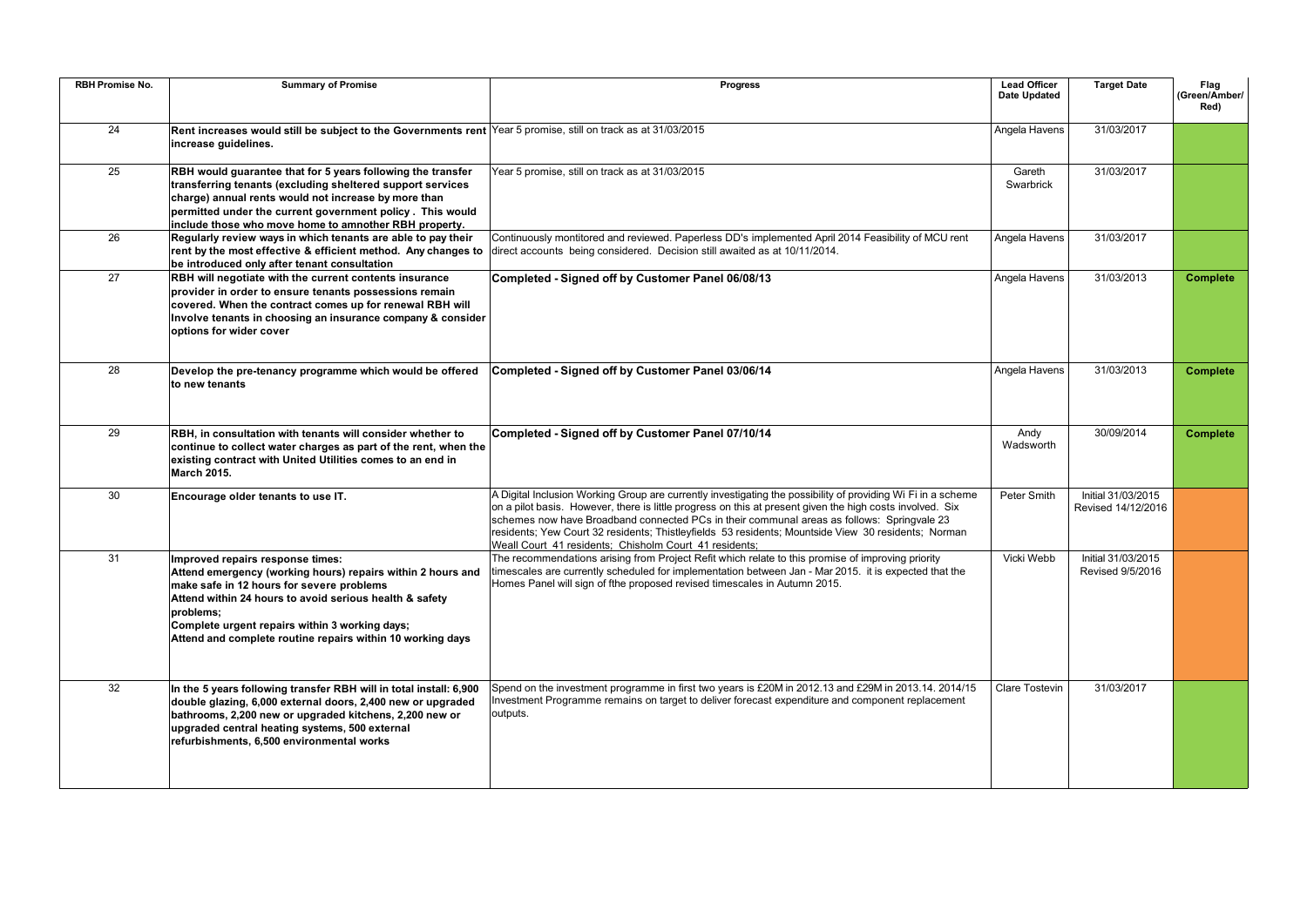| <b>RBH Promise No.</b> | <b>Summary of Promise</b>                                                                                                                                                                                                                                                                                                            | <b>Progress</b>                                                                                                                                                                                                                                                                                                                                                                                                                                                                          | <b>Lead Officer</b><br><b>Date Updated</b> | <b>Target Date</b>                       | Flag<br>(Green/Amber/<br>Red) |
|------------------------|--------------------------------------------------------------------------------------------------------------------------------------------------------------------------------------------------------------------------------------------------------------------------------------------------------------------------------------|------------------------------------------------------------------------------------------------------------------------------------------------------------------------------------------------------------------------------------------------------------------------------------------------------------------------------------------------------------------------------------------------------------------------------------------------------------------------------------------|--------------------------------------------|------------------------------------------|-------------------------------|
| 24                     | Rent increases would still be subject to the Governments rent Year 5 promise, still on track as at 31/03/2015<br>increase guidelines.                                                                                                                                                                                                |                                                                                                                                                                                                                                                                                                                                                                                                                                                                                          | Angela Havens                              | 31/03/2017                               |                               |
| 25                     | RBH would guarantee that for 5 years following the transfer<br>transferring tenants (excluding sheltered support services<br>charge) annual rents would not increase by more than<br>permitted under the current government policy. This would<br>include those who move home to amnother RBH property.                              | Year 5 promise, still on track as at 31/03/2015                                                                                                                                                                                                                                                                                                                                                                                                                                          | Gareth<br>Swarbrick                        | 31/03/2017                               |                               |
| 26                     | Regularly review ways in which tenants are able to pay their<br>rent by the most effective & efficient method. Any changes to<br>be introduced only after tenant consultation                                                                                                                                                        | Continuously montitored and reviewed. Paperless DD's implemented April 2014 Feasibility of MCU rent<br>direct accounts being considered. Decision still awaited as at 10/11/2014.                                                                                                                                                                                                                                                                                                        | Angela Havens                              | 31/03/2017                               |                               |
| 27                     | RBH will negotiate with the current contents insurance<br>provider in order to ensure tenants possessions remain<br>covered. When the contract comes up for renewal RBH will<br>Involve tenants in choosing an insurance company & consider<br>options for wider cover                                                               | Completed - Signed off by Customer Panel 06/08/13                                                                                                                                                                                                                                                                                                                                                                                                                                        | Angela Havens                              | 31/03/2013                               | <b>Complete</b>               |
| 28                     | Develop the pre-tenancy programme which would be offered<br>to new tenants                                                                                                                                                                                                                                                           | Completed - Signed off by Customer Panel 03/06/14                                                                                                                                                                                                                                                                                                                                                                                                                                        | Angela Havens                              | 31/03/2013                               | <b>Complete</b>               |
| 29                     | RBH, in consultation with tenants will consider whether to<br>continue to collect water charges as part of the rent, when the<br>existing contract with United Utilities comes to an end in<br>March 2015.                                                                                                                           | Completed - Signed off by Customer Panel 07/10/14                                                                                                                                                                                                                                                                                                                                                                                                                                        | Andy<br>Wadsworth                          | 30/09/2014                               | <b>Complete</b>               |
| 30                     | Encourage older tenants to use IT.                                                                                                                                                                                                                                                                                                   | A Digital Inclusion Working Group are currently investigating the possibility of providing Wi Fi in a scheme<br>on a pilot basis. However, there is little progress on this at present given the high costs involved. Six<br>schemes now have Broadband connected PCs in their communal areas as follows: Springvale 23<br>residents; Yew Court 32 residents; Thistleyfields 53 residents; Mountside View 30 residents; Norman<br>Weall Court 41 residents; Chisholm Court 41 residents; | Peter Smith                                | Initial 31/03/2015<br>Revised 14/12/2016 |                               |
| 31                     | Improved repairs response times:<br>Attend emergency (working hours) repairs within 2 hours and<br>make safe in 12 hours for severe problems<br>Attend within 24 hours to avoid serious health & safety<br>problems;<br>Complete urgent repairs within 3 working days;<br>Attend and complete routine repairs within 10 working days | The recommendations arising from Project Refit which relate to this promise of improving priority<br>timescales are currently scheduled for implementation between Jan - Mar 2015. it is expected that the<br>Homes Panel will sign of fthe proposed revised timescales in Autumn 2015.                                                                                                                                                                                                  | Vicki Webb                                 | Initial 31/03/2015<br>Revised 9/5/2016   |                               |
| 32                     | In the 5 years following transfer RBH will in total install: 6,900<br>double glazing, 6,000 external doors, 2,400 new or upgraded<br>bathrooms, 2,200 new or upgraded kitchens, 2,200 new or<br>upgraded central heating systems, 500 external<br>refurbishments, 6,500 environmental works                                          | Spend on the investment programme in first two years is £20M in 2012.13 and £29M in 2013.14. 2014/15<br>Investment Programme remains on target to deliver forecast expenditure and component replacement<br>outputs.                                                                                                                                                                                                                                                                     | <b>Clare Tostevin</b>                      | 31/03/2017                               |                               |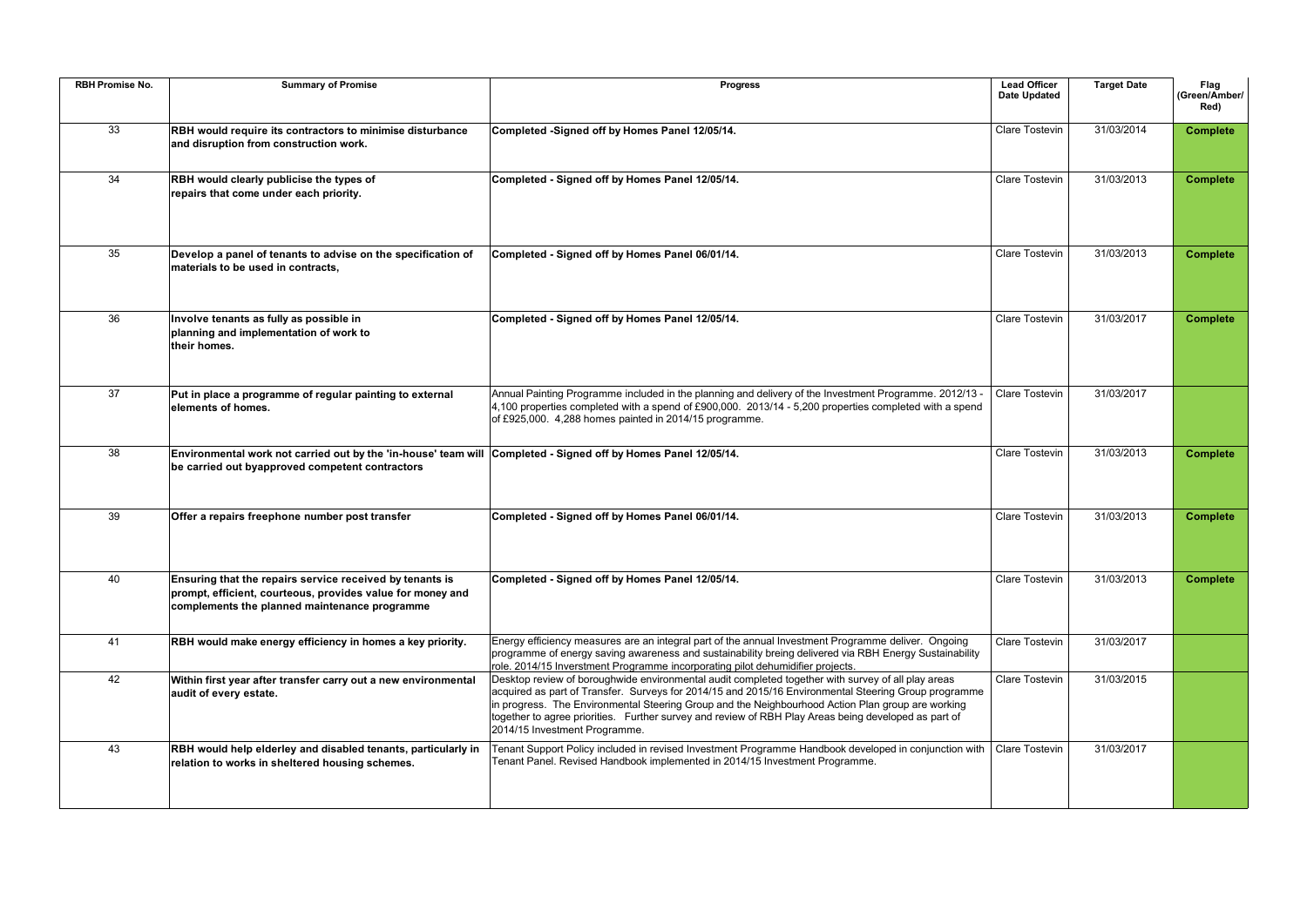| <b>RBH Promise No.</b> | <b>Summary of Promise</b>                                                                                                                                               | <b>Progress</b>                                                                                                                                                                                                                                                                                                                                                                                                                                          | Lead Officer<br><b>Date Updated</b> | <b>Target Date</b> | Flag<br>(Green/Amber/<br>Red) |
|------------------------|-------------------------------------------------------------------------------------------------------------------------------------------------------------------------|----------------------------------------------------------------------------------------------------------------------------------------------------------------------------------------------------------------------------------------------------------------------------------------------------------------------------------------------------------------------------------------------------------------------------------------------------------|-------------------------------------|--------------------|-------------------------------|
| 33                     | RBH would require its contractors to minimise disturbance<br>and disruption from construction work.                                                                     | Completed -Signed off by Homes Panel 12/05/14.                                                                                                                                                                                                                                                                                                                                                                                                           | Clare Tostevin                      | 31/03/2014         | <b>Complete</b>               |
| 34                     | RBH would clearly publicise the types of<br>repairs that come under each priority.                                                                                      | Completed - Signed off by Homes Panel 12/05/14.                                                                                                                                                                                                                                                                                                                                                                                                          | <b>Clare Tostevin</b>               | 31/03/2013         | <b>Complete</b>               |
| 35                     | Develop a panel of tenants to advise on the specification of<br>materials to be used in contracts,                                                                      | Completed - Signed off by Homes Panel 06/01/14.                                                                                                                                                                                                                                                                                                                                                                                                          | <b>Clare Tostevin</b>               | 31/03/2013         | <b>Complete</b>               |
| 36                     | Involve tenants as fully as possible in<br>planning and implementation of work to<br>their homes.                                                                       | Completed - Signed off by Homes Panel 12/05/14.                                                                                                                                                                                                                                                                                                                                                                                                          | Clare Tostevin                      | 31/03/2017         | <b>Complete</b>               |
| 37                     | Put in place a programme of regular painting to external<br>elements of homes.                                                                                          | Annual Painting Programme included in the planning and delivery of the Investment Programme. 2012/13 -<br>$4,100$ properties completed with a spend of £900,000. 2013/14 - 5,200 properties completed with a spend<br>of £925,000. 4,288 homes painted in 2014/15 programme.                                                                                                                                                                             | Clare Tostevin                      | 31/03/2017         |                               |
| 38                     | Environmental work not carried out by the 'in-house' team will Completed - Signed off by Homes Panel 12/05/14.<br>be carried out byapproved competent contractors       |                                                                                                                                                                                                                                                                                                                                                                                                                                                          | <b>Clare Tostevin</b>               | 31/03/2013         | <b>Complete</b>               |
| 39                     | Offer a repairs freephone number post transfer                                                                                                                          | Completed - Signed off by Homes Panel 06/01/14.                                                                                                                                                                                                                                                                                                                                                                                                          | <b>Clare Tostevin</b>               | 31/03/2013         | <b>Complete</b>               |
| 40                     | Ensuring that the repairs service received by tenants is<br>prompt, efficient, courteous, provides value for money and<br>complements the planned maintenance programme | Completed - Signed off by Homes Panel 12/05/14.                                                                                                                                                                                                                                                                                                                                                                                                          | Clare Tostevin                      | 31/03/2013         | <b>Complete</b>               |
| 41                     | RBH would make energy efficiency in homes a key priority.                                                                                                               | Energy efficiency measures are an integral part of the annual Investment Programme deliver. Ongoing<br>programme of energy saving awareness and sustainability breing delivered via RBH Energy Sustainability<br>role. 2014/15 Inverstment Programme incorporating pilot dehumidifier projects.                                                                                                                                                          | Clare Tostevin                      | 31/03/2017         |                               |
| 42                     | Within first year after transfer carry out a new environmental<br>audit of every estate.                                                                                | Desktop review of boroughwide environmental audit completed together with survey of all play areas<br>acquired as part of Transfer. Surveys for 2014/15 and 2015/16 Environmental Steering Group programme<br>in progress. The Environmental Steering Group and the Neighbourhood Action Plan group are working<br>together to agree priorities. Further survey and review of RBH Play Areas being developed as part of<br>2014/15 Investment Programme. | Clare Tostevin                      | 31/03/2015         |                               |
| 43                     | RBH would help elderley and disabled tenants, particularly in<br>relation to works in sheltered housing schemes.                                                        | Tenant Support Policy included in revised Investment Programme Handbook developed in conjunction with<br>Tenant Panel. Revised Handbook implemented in 2014/15 Investment Programme.                                                                                                                                                                                                                                                                     | Clare Tostevin                      | 31/03/2017         |                               |